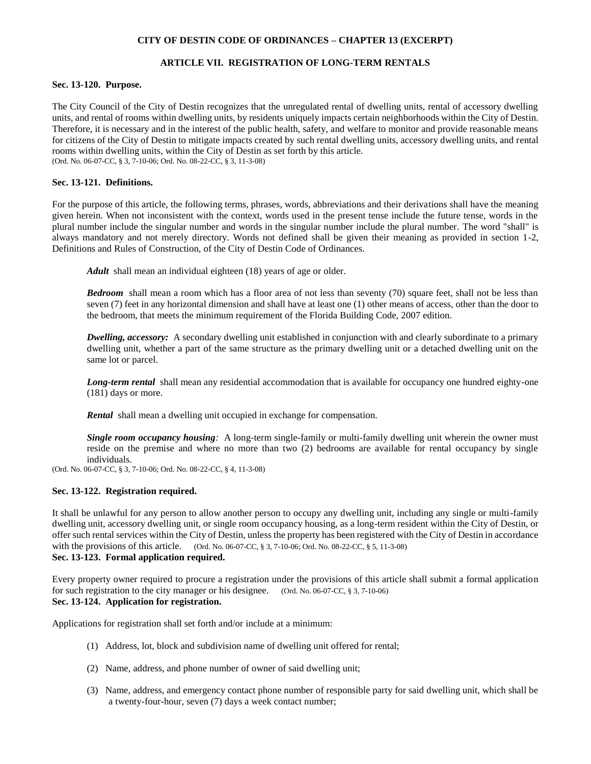# **CITY OF DESTIN CODE OF ORDINANCES – CHAPTER 13 (EXCERPT)**

# **ARTICLE VII. REGISTRATION OF LONG-TERM RENTALS**

### **Sec. 13-120. Purpose.**

The City Council of the City of Destin recognizes that the unregulated rental of dwelling units, rental of accessory dwelling units, and rental of rooms within dwelling units, by residents uniquely impacts certain neighborhoods within the City of Destin. Therefore, it is necessary and in the interest of the public health, safety, and welfare to monitor and provide reasonable means for citizens of the City of Destin to mitigate impacts created by such rental dwelling units, accessory dwelling units, and rental rooms within dwelling units, within the City of Destin as set forth by this article. (Ord. No. 06-07-CC, § 3, 7-10-06; Ord. No. 08-22-CC, § 3, 11-3-08)

## **Sec. 13-121. Definitions.**

For the purpose of this article, the following terms, phrases, words, abbreviations and their derivations shall have the meaning given herein. When not inconsistent with the context, words used in the present tense include the future tense, words in the plural number include the singular number and words in the singular number include the plural number. The word "shall" is always mandatory and not merely directory. Words not defined shall be given their meaning as provided in section 1-2, Definitions and Rules of Construction, of the City of Destin Code of Ordinances.

*Adult* shall mean an individual eighteen (18) years of age or older.

*Bedroom* shall mean a room which has a floor area of not less than seventy (70) square feet, shall not be less than seven (7) feet in any horizontal dimension and shall have at least one (1) other means of access, other than the door to the bedroom, that meets the minimum requirement of the Florida Building Code, 2007 edition.

*Dwelling, accessory:* A secondary dwelling unit established in conjunction with and clearly subordinate to a primary dwelling unit, whether a part of the same structure as the primary dwelling unit or a detached dwelling unit on the same lot or parcel.

*Long-term rental* shall mean any residential accommodation that is available for occupancy one hundred eighty-one (181) days or more.

*Rental* shall mean a dwelling unit occupied in exchange for compensation.

*Single room occupancy housing:* A long-term single-family or multi-family dwelling unit wherein the owner must reside on the premise and where no more than two (2) bedrooms are available for rental occupancy by single individuals.

(Ord. No. 06-07-CC, § 3, 7-10-06; Ord. No. 08-22-CC, § 4, 11-3-08)

# **Sec. 13-122. Registration required.**

It shall be unlawful for any person to allow another person to occupy any dwelling unit, including any single or multi-family dwelling unit, accessory dwelling unit, or single room occupancy housing, as a long-term resident within the City of Destin, or offer such rental services within the City of Destin, unless the property has been registered with the City of Destin in accordance with the provisions of this article. (Ord. No. 06-07-CC, § 3, 7-10-06; Ord. No. 08-22-CC, § 5, 11-3-08) **Sec. 13-123. Formal application required.**

Every property owner required to procure a registration under the provisions of this article shall submit a formal application for such registration to the city manager or his designee. (Ord. No. 06-07-CC, § 3, 7-10-06) **Sec. 13-124. Application for registration.**

Applications for registration shall set forth and/or include at a minimum:

- (1) Address, lot, block and subdivision name of dwelling unit offered for rental;
- (2) Name, address, and phone number of owner of said dwelling unit;
- (3) Name, address, and emergency contact phone number of responsible party for said dwelling unit, which shall be a twenty-four-hour, seven (7) days a week contact number;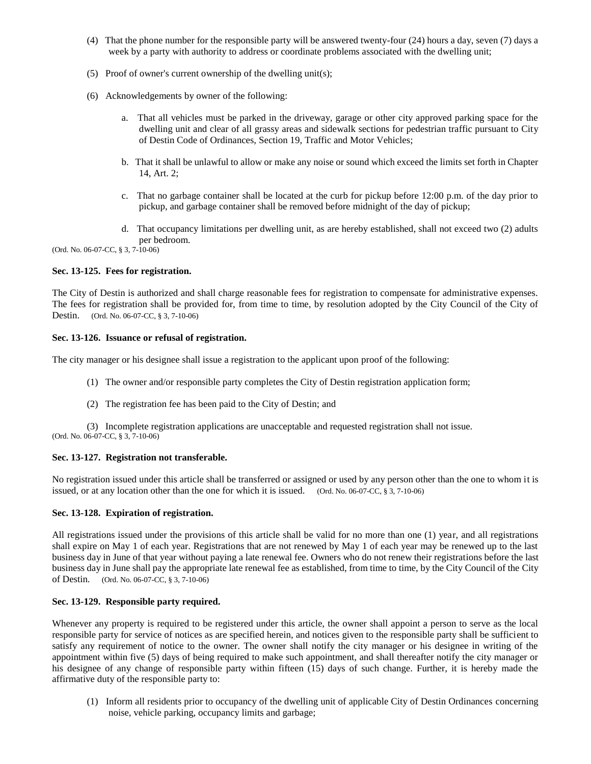- (4) That the phone number for the responsible party will be answered twenty-four (24) hours a day, seven (7) days a week by a party with authority to address or coordinate problems associated with the dwelling unit;
- (5) Proof of owner's current ownership of the dwelling unit(s);
- (6) Acknowledgements by owner of the following:
	- a. That all vehicles must be parked in the driveway, garage or other city approved parking space for the dwelling unit and clear of all grassy areas and sidewalk sections for pedestrian traffic pursuant to City of Destin Code of Ordinances, Section 19, Traffic and Motor Vehicles;
	- b. That it shall be unlawful to allow or make any noise or sound which exceed the limits set forth in Chapter 14, Art. 2;
	- c. That no garbage container shall be located at the curb for pickup before 12:00 p.m. of the day prior to pickup, and garbage container shall be removed before midnight of the day of pickup;
	- d. That occupancy limitations per dwelling unit, as are hereby established, shall not exceed two (2) adults per bedroom.

(Ord. No. 06-07-CC, § 3, 7-10-06)

### **Sec. 13-125. Fees for registration.**

The City of Destin is authorized and shall charge reasonable fees for registration to compensate for administrative expenses. The fees for registration shall be provided for, from time to time, by resolution adopted by the City Council of the City of Destin. (Ord. No. 06-07-CC, § 3, 7-10-06)

#### **Sec. 13-126. Issuance or refusal of registration.**

The city manager or his designee shall issue a registration to the applicant upon proof of the following:

- (1) The owner and/or responsible party completes the City of Destin registration application form;
- (2) The registration fee has been paid to the City of Destin; and

(3) Incomplete registration applications are unacceptable and requested registration shall not issue. (Ord. No. 06-07-CC, § 3, 7-10-06)

#### **Sec. 13-127. Registration not transferable.**

No registration issued under this article shall be transferred or assigned or used by any person other than the one to whom it is issued, or at any location other than the one for which it is issued. (Ord. No. 06-07-CC, § 3, 7-10-06)

#### **Sec. 13-128. Expiration of registration.**

All registrations issued under the provisions of this article shall be valid for no more than one (1) year, and all registrations shall expire on May 1 of each year. Registrations that are not renewed by May 1 of each year may be renewed up to the last business day in June of that year without paying a late renewal fee. Owners who do not renew their registrations before the last business day in June shall pay the appropriate late renewal fee as established, from time to time, by the City Council of the City of Destin. (Ord. No. 06-07-CC, § 3, 7-10-06)

## **Sec. 13-129. Responsible party required.**

Whenever any property is required to be registered under this article, the owner shall appoint a person to serve as the local responsible party for service of notices as are specified herein, and notices given to the responsible party shall be sufficient to satisfy any requirement of notice to the owner. The owner shall notify the city manager or his designee in writing of the appointment within five (5) days of being required to make such appointment, and shall thereafter notify the city manager or his designee of any change of responsible party within fifteen (15) days of such change. Further, it is hereby made the affirmative duty of the responsible party to:

(1) Inform all residents prior to occupancy of the dwelling unit of applicable City of Destin Ordinances concerning noise, vehicle parking, occupancy limits and garbage;